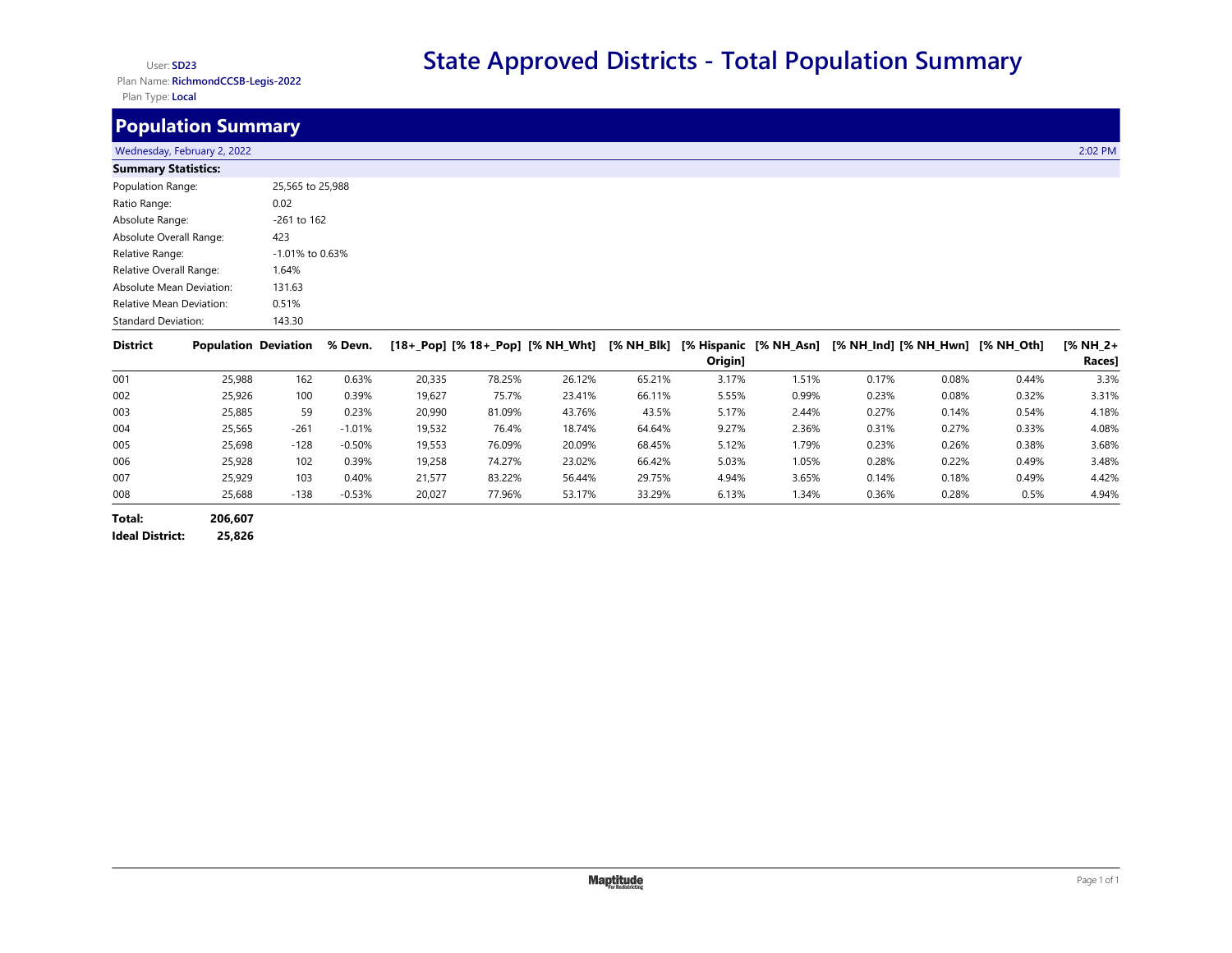## User: **SD23**

Plan Name: **RichmondCCSB-Legis-2022** Plan Type: **Local**

## **Population Summary**

## wednesday, February 2, 2022 2:02 PM 2:02 PM 2:02 PM 2:02 PM 2:02 PM 2:02 PM 2:02 PM 2:02 PM 2:02 PM 2:02 PM 2:02 PM 2:02 PM 2:02 PM 2:02 PM 2:02 PM 2:02 PM 2:02 PM 2:02 PM 2:02 PM 2:02 PM 2:02 PM 2:02 PM 2:02 PM 2:02 PM 2: **Summary Statistics:**

| <b>SUITINGLY STATISTICS.</b>    |                    |
|---------------------------------|--------------------|
| Population Range:               | 25,565 to 25,988   |
| Ratio Range:                    | 0.02               |
| Absolute Range:                 | $-261$ to 162      |
| Absolute Overall Range:         | 423                |
| Relative Range:                 | $-1.01\%$ to 0.63% |
| Relative Overall Range:         | 1.64%              |
| <b>Absolute Mean Deviation:</b> | 131.63             |
| <b>Relative Mean Deviation:</b> | 0.51%              |
| <b>Standard Deviation:</b>      | 143.30             |

| <b>District</b> | <b>Population Deviation</b> |        | % Devn.  |        |        | [18+_Pop] [% 18+_Pop] [% NH_Wht] | [% NH_Blk] | Origin] |       | [% Hispanic [% NH_Asn] [% NH_Ind] [% NH_Hwn] |       | [% NH Oth] | $1\%$ NH 2+<br>Races] |
|-----------------|-----------------------------|--------|----------|--------|--------|----------------------------------|------------|---------|-------|----------------------------------------------|-------|------------|-----------------------|
| 001             | 25,988                      | 162    | 0.63%    | 20,335 | 78.25% | 26.12%                           | 65.21%     | 3.17%   | 1.51% | 0.17%                                        | 0.08% | 0.44%      | 3.3%                  |
| 002             | 25,926                      | 100    | 0.39%    | 19,627 | 75.7%  | 23.41%                           | 66.11%     | 5.55%   | 0.99% | 0.23%                                        | 0.08% | 0.32%      | 3.31%                 |
| 003             | 25,885                      | 59     | 0.23%    | 20,990 | 81.09% | 43.76%                           | 43.5%      | 5.17%   | 2.44% | 0.27%                                        | 0.14% | 0.54%      | 4.18%                 |
| 004             | 25,565                      | $-261$ | $-1.01%$ | 19,532 | 76.4%  | 18.74%                           | 64.64%     | 9.27%   | 2.36% | 0.31%                                        | 0.27% | 0.33%      | 4.08%                 |
| 005             | 25,698                      | $-128$ | $-0.50%$ | 19,553 | 76.09% | 20.09%                           | 68.45%     | 5.12%   | 1.79% | 0.23%                                        | 0.26% | 0.38%      | 3.68%                 |
| 006             | 25,928                      | 102    | 0.39%    | 19,258 | 74.27% | 23.02%                           | 66.42%     | 5.03%   | 1.05% | 0.28%                                        | 0.22% | 0.49%      | 3.48%                 |
| 007             | 25,929                      | 103    | 0.40%    | 21.577 | 83.22% | 56.44%                           | 29.75%     | 4.94%   | 3.65% | 0.14%                                        | 0.18% | 0.49%      | 4.42%                 |
| 008             | 25,688                      | $-138$ | $-0.53%$ | 20,027 | 77.96% | 53.17%                           | 33.29%     | 6.13%   | 1.34% | 0.36%                                        | 0.28% | 0.5%       | 4.94%                 |

**Total: 206,607 Ideal District: 25,826**